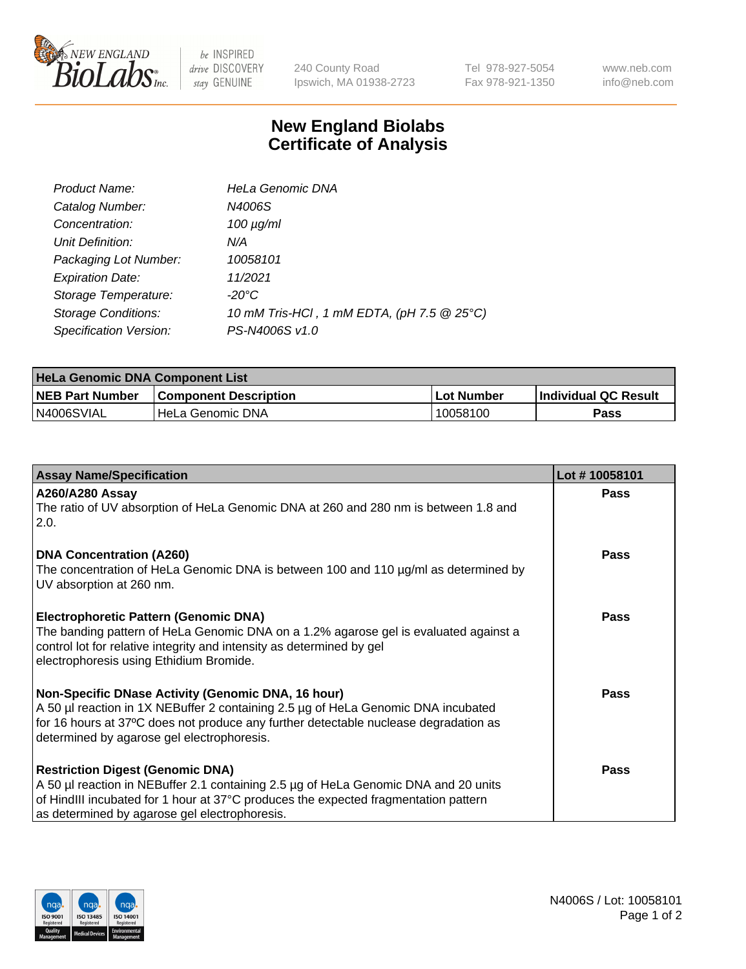

 $be$  INSPIRED drive DISCOVERY stay GENUINE

240 County Road Ipswich, MA 01938-2723 Tel 978-927-5054 Fax 978-921-1350 www.neb.com info@neb.com

## **New England Biolabs Certificate of Analysis**

| Product Name:              | <b>HeLa Genomic DNA</b>                    |
|----------------------------|--------------------------------------------|
| Catalog Number:            | N4006S                                     |
| Concentration:             | $100 \mu g/ml$                             |
| Unit Definition:           | N/A                                        |
| Packaging Lot Number:      | 10058101                                   |
| <b>Expiration Date:</b>    | 11/2021                                    |
| Storage Temperature:       | -20°C                                      |
| <b>Storage Conditions:</b> | 10 mM Tris-HCl, 1 mM EDTA, (pH 7.5 @ 25°C) |
| Specification Version:     | PS-N4006S v1.0                             |

| <b>HeLa Genomic DNA Component List</b> |                              |                   |                             |  |
|----------------------------------------|------------------------------|-------------------|-----------------------------|--|
| <b>NEB Part Number</b>                 | <b>Component Description</b> | <b>Lot Number</b> | <b>Individual QC Result</b> |  |
| IN4006SVIAL                            | l HeLa Genomic DNA           | 10058100          | Pass                        |  |

| <b>Assay Name/Specification</b>                                                                                                                                                                                                                                               | Lot #10058101 |
|-------------------------------------------------------------------------------------------------------------------------------------------------------------------------------------------------------------------------------------------------------------------------------|---------------|
| <b>A260/A280 Assay</b><br>The ratio of UV absorption of HeLa Genomic DNA at 260 and 280 nm is between 1.8 and<br>2.0.                                                                                                                                                         | <b>Pass</b>   |
| <b>DNA Concentration (A260)</b><br>The concentration of HeLa Genomic DNA is between 100 and 110 µg/ml as determined by<br>UV absorption at 260 nm.                                                                                                                            | <b>Pass</b>   |
| <b>Electrophoretic Pattern (Genomic DNA)</b><br>The banding pattern of HeLa Genomic DNA on a 1.2% agarose gel is evaluated against a<br>control lot for relative integrity and intensity as determined by gel<br>electrophoresis using Ethidium Bromide.                      | Pass          |
| Non-Specific DNase Activity (Genomic DNA, 16 hour)<br>A 50 µl reaction in 1X NEBuffer 2 containing 2.5 µg of HeLa Genomic DNA incubated<br>for 16 hours at 37°C does not produce any further detectable nuclease degradation as<br>determined by agarose gel electrophoresis. | <b>Pass</b>   |
| <b>Restriction Digest (Genomic DNA)</b><br>A 50 µl reaction in NEBuffer 2.1 containing 2.5 µg of HeLa Genomic DNA and 20 units<br>of HindIII incubated for 1 hour at 37°C produces the expected fragmentation pattern<br>as determined by agarose gel electrophoresis.        | <b>Pass</b>   |